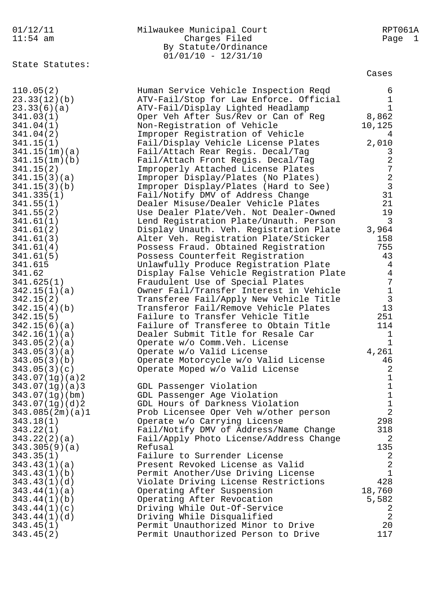| 01/12/11<br>$11:54$ am            | Milwaukee Municipal Court<br>Charges Filed<br>By Statute/Ordinance<br>$01/01/10 - 12/31/10$ | RPT061A<br>Page<br>$\mathbf{1}$ |
|-----------------------------------|---------------------------------------------------------------------------------------------|---------------------------------|
| State Statutes:                   |                                                                                             | Cases                           |
| 110.05(2)                         | Human Service Vehicle Inspection Reqd                                                       | 6                               |
| 23.33(12)(b)                      | ATV-Fail/Stop for Law Enforce. Official                                                     | $1\,$                           |
| 23.33(6)(a)                       | ATV-Fail/Display Lighted Headlamp                                                           | $\mathbf 1$                     |
| 341.03(1)                         | Oper Veh After Sus/Rev or Can of Reg                                                        | 8,862                           |
| 341.04(1)                         | Non-Registration of Vehicle                                                                 | 10,125                          |
| 341.04(2)                         | Improper Registration of Vehicle                                                            | 4                               |
| 341.15(1)                         | Fail/Display Vehicle License Plates                                                         | 2,010                           |
| 341.15(1m)(a)                     | Fail/Attach Rear Regis. Decal/Tag                                                           | 3                               |
| 341.15(1m)(b)                     | Fail/Attach Front Regis. Decal/Tag                                                          | $\sqrt{2}$                      |
| 341.15(2)                         | Improperly Attached License Plates                                                          | $\boldsymbol{7}$                |
| 341.15(3)(a)                      | Improper Display/Plates (No Plates)                                                         | $\sqrt{2}$                      |
| 341.15(3)(b)                      | Improper Display/Plates (Hard to See)                                                       | $\mathbf{3}$                    |
| 341.335(1)                        | Fail/Notify DMV of Address Change                                                           | 31                              |
| 341.55(1)                         | Dealer Misuse/Dealer Vehicle Plates                                                         | 21                              |
| 341.55(2)                         | Use Dealer Plate/Veh. Not Dealer-Owned                                                      | 19                              |
| 341.61(1)                         | Lend Registration Plate/Unauth. Person                                                      | $\overline{3}$                  |
| 341.61(2)                         | Display Unauth. Veh. Registration Plate                                                     | 3,964                           |
| 341.61(3)                         | Alter Veh. Registration Plate/Sticker                                                       | 158                             |
| 341.61(4)                         | Possess Fraud. Obtained Registration                                                        | 755                             |
| 341.61(5)<br>341.615              | Possess Counterfeit Registration<br>Unlawfully Produce Registration Plate                   | 43<br>$\overline{4}$            |
| 341.62                            | Display False Vehicle Registration Plate                                                    | $\overline{4}$                  |
| 341.625(1)                        | Fraudulent Use of Special Plates                                                            | $\overline{7}$                  |
| 342.15(1)(a)                      | Owner Fail/Transfer Interest in Vehicle                                                     | $\mathbf 1$                     |
| 342.15(2)                         | Transferee Fail/Apply New Vehicle Title                                                     | $\mathbf{3}$                    |
| 342.15(4)(b)                      | Transferor Fail/Remove Vehicle Plates                                                       | 13                              |
| 342.15(5)                         | Failure to Transfer Vehicle Title                                                           | 251                             |
| 342.15(6)(a)                      | Failure of Transferee to Obtain Title                                                       | 114                             |
| 342.16(1)(a)                      | Dealer Submit Title for Resale Car                                                          | 1                               |
| 343.05(2)(a)                      | Operate w/o Comm. Veh. License                                                              | $\mathbf 1$                     |
| 343.05(3)(a)                      | Operate w/o Valid License                                                                   | 4,261                           |
| 343.05(3)(b)                      | Operate Motorcycle w/o Valid License                                                        | 46                              |
| 343.05(3)(c)                      | Operate Moped w/o Valid License                                                             | $\overline{2}$                  |
| 343.07(1g)(a)2                    |                                                                                             | $\mathbf 1$                     |
| 343.07(1q)(a)3                    | GDL Passenger Violation                                                                     | $\mathbf 1$                     |
| 343.07(1g)(bm)                    | GDL Passenger Age Violation<br>GDL Hours of Darkness Violation                              | $\mathbf 1$<br>$1\,$            |
| 343.07(1g)(d)2<br>343.085(2m)(a)1 | Prob Licensee Oper Veh w/other person                                                       | $\overline{2}$                  |
| 343.18(1)                         | Operate w/o Carrying License                                                                | 298                             |
| 343.22(1)                         | Fail/Notify DMV of Address/Name Change                                                      | 318                             |
| 343.22(2)(a)                      | Fail/Apply Photo License/Address Change                                                     | 2                               |
| 343.305(9)(a)                     | Refusal                                                                                     | 135                             |
| 343.35(1)                         | Failure to Surrender License                                                                | 2                               |
| 343.43(1)(a)                      | Present Revoked License as Valid                                                            | $\overline{2}$                  |
| 343.43(1)(b)                      | Permit Another/Use Driving License                                                          | $\mathbf{1}$                    |
| 343.43(1)(d)                      | Violate Driving License Restrictions                                                        | 428                             |
| 343.44(1)(a)                      | Operating After Suspension                                                                  | 18,760                          |
| 343.44(1)(b)                      | Operating After Revocation                                                                  | 5,582                           |
| 343.44(1)(c)                      | Driving While Out-Of-Service                                                                | 2                               |
| 343.44(1)(d)                      | Driving While Disqualified                                                                  | $\overline{2}$                  |
| 343.45(1)                         | Permit Unauthorized Minor to Drive                                                          | 20                              |
| 343.45(2)                         | Permit Unauthorized Person to Drive                                                         | 117                             |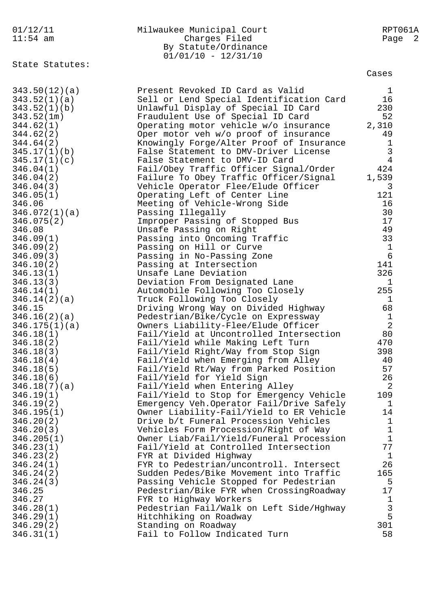| 01/12/11               | Milwaukee Municipal Court                                       | RPT061A        |
|------------------------|-----------------------------------------------------------------|----------------|
| $11:54$ am             | Charges Filed                                                   | Page 2         |
|                        | By Statute/Ordinance                                            |                |
|                        | $01/01/10 - 12/31/10$                                           |                |
| State Statutes:        |                                                                 |                |
|                        |                                                                 | Cases          |
| 343.50(12)(a)          | Present Revoked ID Card as Valid                                | $\mathbf{1}$   |
| 343.52(1)(a)           | Sell or Lend Special Identification Card                        | 16             |
| 343.52(1)(b)           | Unlawful Display of Special ID Card                             | 230            |
| 343.52(1m)             | Fraudulent Use of Special ID Card                               | 52             |
| 344.62(1)              | Operating motor vehicle w/o insurance                           | 2,310          |
| 344.62(2)              | Oper motor veh w/o proof of insurance                           | 49             |
| 344.64(2)              | Knowingly Forge/Alter Proof of Insurance                        | 1              |
| 345.17(1)(b)           | False Statement to DMV-Driver License                           | $\mathsf 3$    |
| 345.17(1)(c)           | False Statement to DMV-ID Card                                  | $\overline{4}$ |
| 346.04(1)              | Fail/Obey Traffic Officer Signal/Order                          | 424            |
| 346.04(2)              | Failure To Obey Traffic Officer/Signal                          | 1,539          |
| 346.04(3)              | Vehicle Operator Flee/Elude Officer                             | 3              |
| 346.05(1)              | Operating Left of Center Line                                   | 121            |
| 346.06                 | Meeting of Vehicle-Wrong Side                                   | 16             |
| 346.072(1)(a)          | Passing Illegally                                               | 30             |
| 346.075(2)             | Improper Passing of Stopped Bus                                 | 17             |
| 346.08                 | Unsafe Passing on Right                                         | 49             |
| 346.09(1)              | Passing into Oncoming Traffic                                   | 33             |
| 346.09(2)              | Passing on Hill or Curve                                        | $\mathbf{1}$   |
| 346.09(3)              | Passing in No-Passing Zone                                      | $\epsilon$     |
| 346.10(2)              | Passing at Intersection                                         | 141            |
| 346.13(1)              | Unsafe Lane Deviation                                           | 326            |
| 346.13(3)<br>346.14(1) | Deviation From Designated Lane                                  | 1<br>255       |
| 346.14(2)(a)           | Automobile Following Too Closely<br>Truck Following Too Closely | $\mathbf 1$    |
| 346.15                 | Driving Wrong Way on Divided Highway                            | 68             |
| 346.16(2)(a)           | Pedestrian/Bike/Cycle on Expressway                             | $1\,$          |
| 346.175(1)(a)          | Owners Liability-Flee/Elude Officer                             | 2              |
| 346.18(1)              | Fail/Yield at Uncontrolled Intersection                         | 80             |
| 346.18(2)              | Fail/Yield while Making Left Turn                               | 470            |
| 346.18(3)              | Fail/Yield Right/Way from Stop Sign                             | 398            |
| 346.18(4)              | Fail/Yield when Emerging from Alley                             | 40             |
| 346.18(5)              | Fail/Yield Rt/Way from Parked Position                          | 57             |
| 346.18(6)              | Fail/Yield for Yield Sign                                       | 26             |
| 346.18(7)(a)           | Fail/Yield when Entering Alley                                  | 2              |
| 346.19(1)              | Fail/Yield to Stop for Emergency Vehicle                        | 109            |
| 346.19(2)              | Emergency Veh. Operator Fail/Drive Safely                       | 1              |
| 346.195(1)             | Owner Liability-Fail/Yield to ER Vehicle                        | 14             |
| 346.20(2)              | Drive b/t Funeral Procession Vehicles                           | $\mathbf 1$    |
| 346.20(3)              | Vehicles Form Procession/Right of Way                           | $1\,$          |
| 346.205(1)             | Owner Liab/Fail/Yield/Funeral Procession                        | $\mathbf 1$    |
| 346.23(1)              | Fail/Yield at Controlled Intersection                           | 77             |
| 346.23(2)              | FYR at Divided Highway                                          | $\mathbf{1}$   |
| 346.24(1)              | FYR to Pedestrian/uncontroll. Intersect                         | 26             |
| 346.24(2)              | Sudden Pedes/Bike Movement into Traffic                         | 165            |
| 346.24(3)              | Passing Vehicle Stopped for Pedestrian                          | 5              |
| 346.25                 | Pedestrian/Bike FYR when CrossingRoadway                        | 17             |
| 346.27                 | FYR to Highway Workers                                          | $\mathbf{1}$   |
| 346.28(1)              | Pedestrian Fail/Walk on Left Side/Hghway                        | 3              |
| 346.29(1)              | Hitchhiking on Roadway                                          | 5              |
| 346.29(2)              | Standing on Roadway                                             | 301            |
| 346.31(1)              | Fail to Follow Indicated Turn                                   | 58             |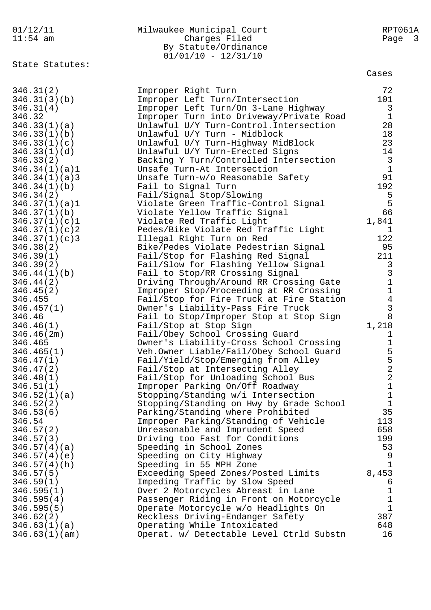## 01/12/11 Milwaukee Municipal Court RPT061A 11:54 am Charges Filed Page 3 By Statute/Ordinance 01/01/10 - 12/31/10

State Statutes:

Cases

| 346.31(2)     | Improper Right Turn                      | 72             |
|---------------|------------------------------------------|----------------|
| 346.31(3)(b)  | Improper Left Turn/Intersection          | 101            |
| 346.31(4)     | Improper Left Turn/On 3-Lane Highway     | $\mathsf{3}$   |
| 346.32        | Improper Turn into Driveway/Private Road | $\mathbf{1}$   |
| 346.33(1)(a)  | Unlawful U/Y Turn-Control. Intersection  | 28             |
| 346.33(1)(b)  | Unlawful U/Y Turn - Midblock             | 18             |
| 346.33(1)(c)  | Unlawful U/Y Turn-Highway MidBlock       | 23             |
| 346.33(1)(d)  | Unlawful U/Y Turn-Erected Signs          | 14             |
| 346.33(2)     | Backing Y Turn/Controlled Intersection   | $\overline{3}$ |
| 346.34(1)(a)1 | Unsafe Turn-At Intersection              | $\mathbf{1}$   |
| 346.34(1)(a)3 | Unsafe Turn-w/o Reasonable Safety        | 91             |
| 346.34(1)(b)  | Fail to Signal Turn                      | 192            |
| 346.34(2)     | Fail/Signal Stop/Slowing                 | 5              |
| 346.37(1)(a)1 | Violate Green Traffic-Control Signal     | 5              |
| 346.37(1)(b)  | Violate Yellow Traffic Signal            | 66             |
| 346.37(1)(c)1 | Violate Red Traffic Light                | 1,841          |
| 346.37(1)(c)2 | Pedes/Bike Violate Red Traffic Light     | $\mathbf{1}$   |
| 346.37(1)(c)3 | Illegal Right Turn on Red                | 122            |
| 346.38(2)     | Bike/Pedes Violate Pedestrian Signal     | 95             |
| 346.39(1)     | Fail/Stop for Flashing Red Signal        | 211            |
| 346.39(2)     | Fail/Slow for Flashing Yellow Signal     | $\mathbf{3}$   |
| 346.44(1)(b)  | Fail to Stop/RR Crossing Signal          | $\mathbf{3}$   |
| 346.44(2)     | Driving Through/Around RR Crossing Gate  | $\mathbf{1}$   |
| 346.45(2)     | Improper Stop/Proceeding at RR Crossing  | $\mathbf 1$    |
| 346.455       | Fail/Stop for Fire Truck at Fire Station | $\overline{4}$ |
| 346.457(1)    | Owner's Liability-Pass Fire Truck        | 3              |
| 346.46        | Fail to Stop/Improper Stop at Stop Sign  | 8              |
| 346.46(1)     | Fail/Stop at Stop Sign                   | 1,218          |
| 346.46(2m)    | Fail/Obey School Crossing Guard          | 1              |
| 346.465       | Owner's Liability-Cross School Crossing  | $\mathbf 1$    |
| 346.465(1)    | Veh.Owner Liable/Fail/Obey School Guard  | 5              |
| 346.47(1)     | Fail/Yield/Stop/Emerging from Alley      | 5              |
| 346.47(2)     | Fail/Stop at Intersecting Alley          | $\sqrt{2}$     |
| 346.48(1)     | Fail/Stop for Unloading School Bus       | 2              |
| 346.51(1)     | Improper Parking On/Off Roadway          | $\mathbf{1}$   |
| 346.52(1)(a)  | Stopping/Standing w/i Intersection       | $\mathbf{1}$   |
| 346.52(2)     | Stopping/Standing on Hwy by Grade School | $\mathbf{1}$   |
| 346.53(6)     | Parking/Standing where Prohibited        | 35             |
| 346.54        | Improper Parking/Standing of Vehicle     | 113            |
| 346.57(2)     | Unreasonable and Imprudent Speed         | 658            |
| 346.57(3)     | Driving too Fast for Conditions          | 199            |
| 346.57(4)(a)  | Speeding in School Zones                 | 53             |
| 346.57(4)(e)  | Speeding on City Highway                 | 9              |
| 346.57(4)(h)  | Speeding in 55 MPH Zone                  | 1              |
| 346.57(5)     | Exceeding Speed Zones/Posted Limits      | 8,453          |
| 346.59(1)     | Impeding Traffic by Slow Speed           | 6              |
| 346.595(1)    | Over 2 Motorcycles Abreast in Lane       | 1              |
| 346.595(4)    | Passenger Riding in Front on Motorcycle  | 1              |
| 346.595(5)    | Operate Motorcycle w/o Headlights On     | $\mathbf{1}$   |
| 346.62(2)     | Reckless Driving-Endanger Safety         | 387            |
| 346.63(1)(a)  | Operating While Intoxicated              | 648            |
| 346.63(1)(am) | Operat. w/ Detectable Level Ctrld Substn | 16             |
|               |                                          |                |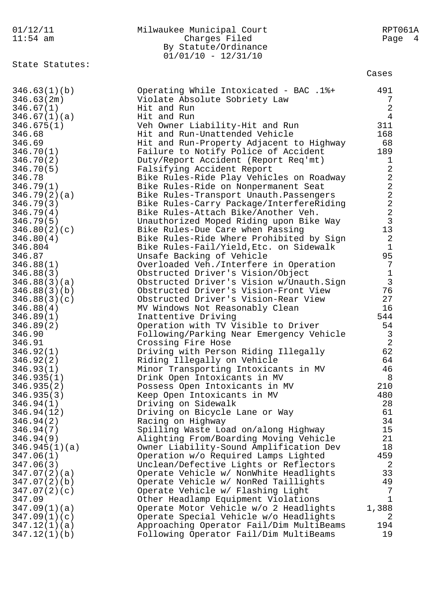| 01/12/11                  | Milwaukee Municipal Court                                                         | RPT061A                 |
|---------------------------|-----------------------------------------------------------------------------------|-------------------------|
| $11:54$ am                | Charges Filed                                                                     | Page 4                  |
|                           | By Statute/Ordinance                                                              |                         |
|                           | $01/01/10 - 12/31/10$                                                             |                         |
| State Statutes:           |                                                                                   | Cases                   |
|                           |                                                                                   |                         |
| 346.63(1)(b)              | Operating While Intoxicated - BAC .1%+                                            | 491<br>7                |
| 346.63(2m)<br>346.67(1)   | Violate Absolute Sobriety Law<br>Hit and Run                                      | $\sqrt{2}$              |
| 346.67(1)(a)              | Hit and Run                                                                       | $\overline{4}$          |
| 346.675(1)                | Veh Owner Liability-Hit and Run                                                   | 311                     |
| 346.68                    | Hit and Run-Unattended Vehicle                                                    | 168                     |
| 346.69                    | Hit and Run-Property Adjacent to Highway                                          | 68                      |
| 346.70(1)                 | Failure to Notify Police of Accident                                              | 189                     |
| 346.70(2)                 | Duty/Report Accident (Report Req'mt)                                              | $\mathbf 1$             |
| 346.70(5)                 | Falsifying Accident Report                                                        | 2                       |
| 346.78                    | Bike Rules-Ride Play Vehicles on Roadway                                          | $\overline{\mathbf{c}}$ |
| 346.79(1)                 | Bike Rules-Ride on Nonpermanent Seat                                              | $\overline{\mathbf{c}}$ |
| 346.79(2)(a)              | Bike Rules-Transport Unauth. Passengers                                           | $\overline{c}$          |
| 346.79(3)                 | Bike Rules-Carry Package/InterfereRiding                                          | $\frac{2}{2}$           |
| 346.79(4)                 | Bike Rules-Attach Bike/Another Veh.                                               |                         |
| 346.79(5)                 | Unauthorized Moped Riding upon Bike Way                                           | $\mathbf{3}$            |
| 346.80(2)(c)              | Bike Rules-Due Care when Passing                                                  | 13                      |
| 346.80(4)                 | Bike Rules-Ride Where Prohibited by Sign                                          | $\overline{a}$          |
| 346.804                   | Bike Rules-Fail/Yield, Etc. on Sidewalk                                           | $1\,$                   |
| 346.87                    | Unsafe Backing of Vehicle                                                         | 95                      |
| 346.88(1)                 | Overloaded Veh./Interfere in Operation                                            | $\overline{7}$          |
| 346.88(3)                 | Obstructed Driver's Vision/Object                                                 | $\mathbf 1$             |
| 346.88(3)(a)              | Obstructed Driver's Vision w/Unauth.Sign                                          | 3<br>76                 |
| 346.88(3)(b)              | Obstructed Driver's Vision-Front View<br>Obstructed Driver's Vision-Rear View     | 27                      |
| 346.88(3)(c)<br>346.88(4) | MV Windows Not Reasonably Clean                                                   | 16                      |
| 346.89(1)                 | Inattentive Driving                                                               | 544                     |
| 346.89(2)                 | Operation with TV Visible to Driver                                               | 54                      |
| 346.90                    | Following/Parking Near Emergency Vehicle                                          | $\mathbf{3}$            |
| 346.91                    | Crossing Fire Hose                                                                | $\overline{2}$          |
| 346.92(1)                 | Driving with Person Riding Illegally                                              | 62                      |
| 346.92(2)                 | Riding Illegally on Vehicle                                                       | 64                      |
| 346.93(1)                 | Minor Transporting Intoxicants in MV                                              | 46                      |
| 346.935(1)                | Drink Open Intoxicants in MV                                                      | 8                       |
| 346.935(2)                | Possess Open Intoxicants in MV                                                    | 210                     |
| 346.935(3)                | Keep Open Intoxicants in MV                                                       | 480                     |
| 346.94(1)                 | Driving on Sidewalk                                                               | 28                      |
| 346.94(12)                | Driving on Bicycle Lane or Way                                                    | 61                      |
| 346.94(2)                 | Racing on Highway                                                                 | 34                      |
| 346.94(7)<br>346.94(9)    | Spilling Waste Load on/along Highway                                              | 15<br>21                |
| 346.945(1)(a)             | Alighting From/Boarding Moving Vehicle<br>Owner Liability-Sound Amplification Dev | 18                      |
| 347.06(1)                 | Operation w/o Required Lamps Lighted                                              | 459                     |
| 347.06(3)                 | Unclean/Defective Lights or Reflectors                                            | 2                       |
| 347.07(2)(a)              | Operate Vehicle w/ NonWhite Headlights                                            | 33                      |
| 347.07(2)(b)              | Operate Vehicle w/ NonRed Taillights                                              | 49                      |
| 347.07(2)(c)              | Operate Vehicle w/ Flashing Light                                                 | 7                       |
| 347.09                    | Other Headlamp Equipment Violations                                               | $\mathbf{1}$            |
| 347.09(1)(a)              | Operate Motor Vehicle w/o 2 Headlights                                            | 1,388                   |
| 347.09(1)(c)              | Operate Special Vehicle w/o Headlights                                            | 2                       |
| 347.12(1)(a)              | Approaching Operator Fail/Dim MultiBeams                                          | 194                     |
| 347.12(1)(b)              | Following Operator Fail/Dim MultiBeams                                            | 19                      |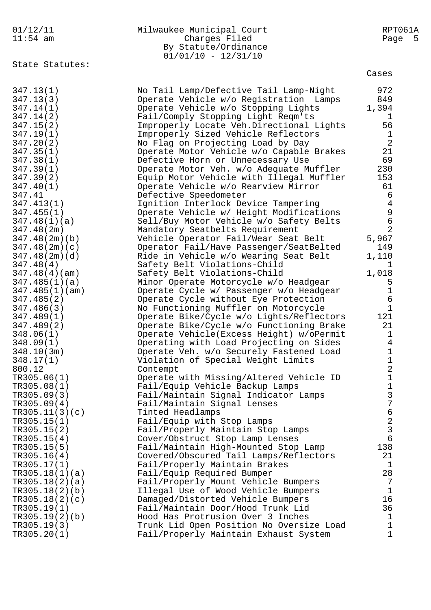| 01/12/11<br>$11:54$ am           | Milwaukee Municipal Court<br>Charges Filed<br>By Statute/Ordinance<br>$01/01/10 - 12/31/10$ | RPT061A<br>Page<br>- 5 |
|----------------------------------|---------------------------------------------------------------------------------------------|------------------------|
| State Statutes:                  |                                                                                             | Cases                  |
| 347.13(1)                        | No Tail Lamp/Defective Tail Lamp-Night                                                      | 972                    |
| 347.13(3)                        | Operate Vehicle w/o Registration Lamps                                                      | 849                    |
| 347.14(1)                        | Operate Vehicle w/o Stopping Lights                                                         | 1,394                  |
| 347.14(2)                        | Fail/Comply Stopping Light Reqm'ts                                                          | 1                      |
| 347.15(2)                        | Improperly Locate Veh. Directional Lights                                                   | 56                     |
| 347.19(1)                        | Improperly Sized Vehicle Reflectors                                                         | 1                      |
| 347.20(2)                        | No Flag on Projecting Load by Day                                                           | $\overline{2}$         |
| 347.35(1)                        | Operate Motor Vehicle w/o Capable Brakes                                                    | 21                     |
| 347.38(1)                        | Defective Horn or Unnecessary Use                                                           | 69                     |
| 347.39(1)                        | Operate Motor Veh. w/o Adequate Muffler                                                     | 230<br>153             |
| 347.39(2)<br>347.40(1)           | Equip Motor Vehicle with Illegal Muffler<br>Operate Vehicle w/o Rearview Mirror             | 61                     |
| 347.41                           | Defective Speedometer                                                                       | 6                      |
| 347.413(1)                       | Ignition Interlock Device Tampering                                                         | $\overline{4}$         |
| 347.455(1)                       | Operate Vehicle w/ Height Modifications                                                     | $\mathsf 9$            |
| 347.48(1)(a)                     | Sell/Buy Motor Vehicle w/o Safety Belts                                                     | 6                      |
| 347.48(2m)                       | Mandatory Seatbelts Requirement                                                             | $\overline{2}$         |
| 347.48(2m)(b)                    | Vehicle Operator Fail/Wear Seat Belt                                                        | 5,967                  |
| 347.48(2m)(c)                    | Operator Fail/Have Passenger/SeatBelted                                                     | 149                    |
| 347.48(2m)(d)                    | Ride in Vehicle w/o Wearing Seat Belt                                                       | 1,110                  |
| 347.48(4)                        | Safety Belt Violations-Child                                                                | T                      |
| 347.48(4)(am)                    | Safety Belt Violations-Child                                                                | 1,018                  |
| 347.485(1)(a)                    | Minor Operate Motorcycle w/o Headgear                                                       | 5                      |
| 347.485(1)(am)                   | Operate Cycle w/ Passenger w/o Headgear                                                     | $\mathbf 1$            |
| 347.485(2)                       | Operate Cycle without Eye Protection                                                        | $\epsilon$             |
| 347.486(3)                       | No Functioning Muffler on Motorcycle                                                        | $\mathbf 1$            |
| 347.489(1)                       | Operate Bike/Cycle w/o Lights/Reflectors                                                    | 121                    |
| 347.489(2)                       | Operate Bike/Cycle w/o Functioning Brake                                                    | 21                     |
| 348.06(1)<br>348.09(1)           | Operate Vehicle(Excess Height) w/oPermit<br>Operating with Load Projecting on Sides         | $\mathbf 1$<br>4       |
| 348.10(3m)                       |                                                                                             | $1\,$                  |
| 348.17(1)                        | Operate Veh. w/o Securely Fastened Load<br>Violation of Special Weight Limits               | 1                      |
| 800.12                           | Contempt                                                                                    | $\overline{2}$         |
| TR305.06(1)                      | Operate with Missing/Altered Vehicle ID                                                     | $\mathbf 1$            |
| TR305.08(1)                      | Fail/Equip Vehicle Backup Lamps                                                             | $1\,$                  |
| TR305.09(3)                      | Fail/Maintain Signal Indicator Lamps                                                        | $\mathbf{3}$           |
| TR305.09(4)                      | Fail/Maintain Signal Lenses                                                                 | $\overline{7}$         |
| TR305.11(3)(c)                   | Tinted Headlamps                                                                            | $\epsilon$             |
| TR305.15(1)                      | Fail/Equip with Stop Lamps                                                                  | $\overline{a}$         |
| TR305.15(2)                      | Fail/Properly Maintain Stop Lamps                                                           | $\mathfrak{Z}$         |
| TR305.15(4)                      | Cover/Obstruct Stop Lamp Lenses                                                             | $6\phantom{1}$         |
| TR305.15(5)                      | Fail/Maintain High-Mounted Stop Lamp                                                        | 138                    |
| TR305.16(4)                      | Covered/Obscured Tail Lamps/Reflectors                                                      | 21                     |
| TR305.17(1)                      | Fail/Properly Maintain Brakes                                                               | $\mathbf 1$            |
| TR305.18(1)(a)                   | Fail/Equip Required Bumper                                                                  | 28                     |
| TR305.18(2)(a)                   | Fail/Properly Mount Vehicle Bumpers                                                         | 7                      |
| TR305.18(2)(b)<br>TR305.18(2)(c) | Illegal Use of Wood Vehicle Bumpers<br>Damaged/Distorted Vehicle Bumpers                    | $\mathbf{1}$<br>16     |
| TR305.19(1)                      | Fail/Maintain Door/Hood Trunk Lid                                                           | 36                     |
| TR305.19(2)(b)                   | Hood Has Protrusion Over 3 Inches                                                           | 1                      |
| TR305.19(3)                      | Trunk Lid Open Position No Oversize Load                                                    | $\mathbf 1$            |
| TR305.20(1)                      | Fail/Properly Maintain Exhaust System                                                       | $\mathbf{1}$           |
|                                  |                                                                                             |                        |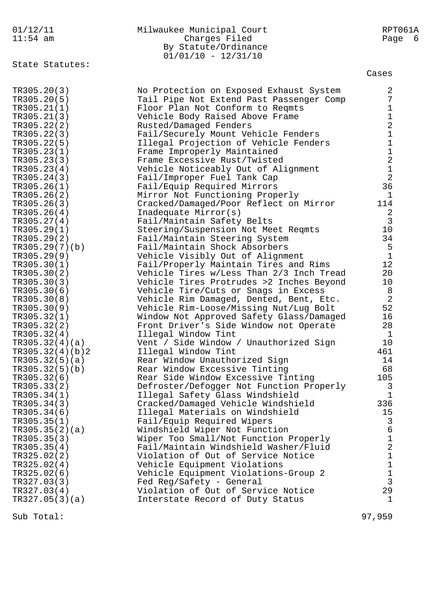| $11:54$ am  |                 | Charges Filed<br>By Statute/Ordinance<br>$01/01/10 - 12/31/10$            | Page             | -6 |
|-------------|-----------------|---------------------------------------------------------------------------|------------------|----|
|             | State Statutes: |                                                                           | Cases            |    |
| TR305.20(3) |                 | No Protection on Exposed Exhaust System                                   | 2                |    |
| TR305.20(5) |                 | Tail Pipe Not Extend Past Passenger Comp                                  | 7                |    |
| TR305.21(1) |                 | Floor Plan Not Conform to Regmts                                          | $\mathbf 1$      |    |
| TR305.21(3) |                 | Vehicle Body Raised Above Frame                                           | $\mathbf 1$      |    |
| TR305.22(2) |                 | Rusted/Damaged Fenders                                                    | $\sqrt{2}$       |    |
| TR305.22(3) |                 | Fail/Securely Mount Vehicle Fenders                                       | $\mathbf 1$      |    |
| TR305.22(5) |                 | Illegal Projection of Vehicle Fenders                                     | $\mathbf 1$      |    |
| TR305.23(1) |                 | Frame Improperly Maintained                                               | $\mathbf 1$      |    |
| TR305.23(3) |                 | Frame Excessive Rust/Twisted                                              | $\overline{a}$   |    |
| TR305.23(4) |                 | Vehicle Noticeably Out of Alignment                                       | $\mathbf 1$      |    |
| TR305.24(3) |                 | Fail/Improper Fuel Tank Cap                                               | $\overline{2}$   |    |
| TR305.26(1) |                 | Fail/Equip Required Mirrors                                               | 36               |    |
| TR305.26(2) |                 | Mirror Not Functioning Properly                                           | $\mathbf{1}$     |    |
| TR305.26(3) |                 | Cracked/Damaged/Poor Reflect on Mirror                                    | 114              |    |
| TR305.26(4) |                 | Inadequate Mirror(s)                                                      | 2                |    |
| TR305.27(4) |                 | Fail/Maintain Safety Belts                                                | 3                |    |
| TR305.29(1) |                 | Steering/Suspension Not Meet Reqmts                                       | 10               |    |
| TR305.29(2) |                 | Fail/Maintain Steering System                                             | 34               |    |
| TR305.29(9) | TR305.29(7)(b)  | Fail/Maintain Shock Absorbers                                             | 5<br>$\mathbf 1$ |    |
| TR305.30(1) |                 | Vehicle Visibly Out of Alignment<br>Fail/Properly Maintain Tires and Rims | 12               |    |
| TR305.30(2) |                 | Vehicle Tires w/Less Than 2/3 Inch Tread                                  | 20               |    |
| TR305.30(3) |                 | Vehicle Tires Protrudes >2 Inches Beyond                                  | 10               |    |
| TR305.30(6) |                 | Vehicle Tire/Cuts or Snags in Excess                                      | 8                |    |
| TR305.30(8) |                 | Vehicle Rim Damaged, Dented, Bent, Etc.                                   | $\sqrt{2}$       |    |
| TR305.30(9) |                 | Vehicle Rim-Loose/Missing Nut/Lug Bolt                                    | 52               |    |
|             | TR305.32(1)     | Window Not Approved Safety Glass/Damaged                                  | 16               |    |
| TR305.32(2) |                 | Front Driver's Side Window not Operate                                    | 28               |    |
| TR305.32(4) |                 | Illegal Window Tint                                                       | $\mathbf 1$      |    |
|             | TR305.32(4)(a)  | Vent / Side Window / Unauthorized Sign                                    | 10               |    |
|             | TR305.32(4)(b)2 | Illegal Window Tint                                                       | 461              |    |
|             | TR305.32(5)(a)  | Rear Window Unauthorized Sign                                             | 14               |    |
|             | TR305.32(5)(b)  | Rear Window Excessive Tinting                                             | 68               |    |
| TR305.32(6) |                 | Rear Side Window Excessive Tinting                                        | 105              |    |
| TR305.33(2) |                 | Defroster/Defogger Not Function Properly                                  | 3                |    |
| TR305.34(1) |                 | Illegal Safety Glass Windshield                                           | $\mathbf 1$      |    |
| TR305.34(3) |                 | Cracked/Damaged Vehicle Windshield                                        | 336              |    |
| TR305.34(6) |                 | Illegal Materials on Windshield                                           | 15               |    |
| TR305.35(1) |                 | Fail/Equip Required Wipers                                                | $\mathsf{3}$     |    |
|             | TR305.35(2)(a)  | Windshield Wiper Not Function                                             | 6                |    |
| TR305.35(3) |                 | Wiper Too Small/Not Function Properly                                     | $\mathbf 1$      |    |
| TR305.35(4) |                 | Fail/Maintain Windshield Washer/Fluid                                     | $\sqrt{2}$       |    |
| TR325.02(2) |                 | Violation of Out of Service Notice                                        | $\mathbf 1$      |    |
| TR325.02(4) |                 | Vehicle Equipment Violations                                              | $\mathbf 1$      |    |
| TR325.02(6) |                 | Vehicle Equipment Violations-Group 2                                      | $\mathbf 1$      |    |
| TR327.03(3) |                 | Fed Reg/Safety - General                                                  | 3                |    |
| TR327.03(4) |                 | Violation of Out of Service Notice                                        | 29               |    |
|             | TR327.05(3)(a)  | Interstate Record of Duty Status                                          | $\mathbf{1}$     |    |
| Sub Total:  |                 |                                                                           | 97,959           |    |

01/12/11 Milwaukee Municipal Court RPT061A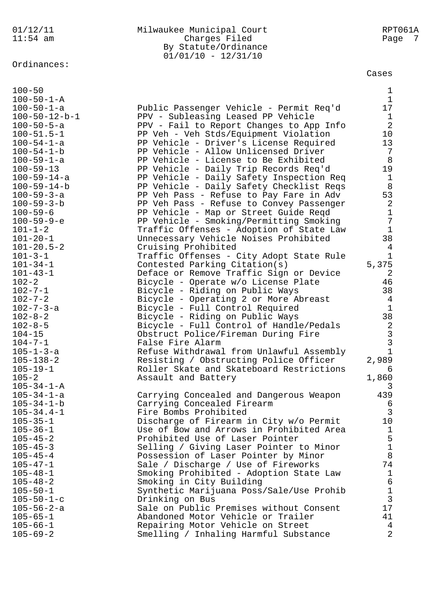## Ordinances:

Cases

| $100 - 50$              |                                          | $\mathbf{1}$      |
|-------------------------|------------------------------------------|-------------------|
| $100 - 50 - 1 - A$      |                                          | $\mathbf{1}$      |
| $100 - 50 - 1 - a$      | Public Passenger Vehicle - Permit Req'd  | 17                |
| $100 - 50 - 12 - b - 1$ | PPV - Subleasing Leased PP Vehicle       | $\mathbf{1}$      |
| $100 - 50 - 5 - a$      | PPV - Fail to Report Changes to App Info | 2                 |
| $100 - 51.5 - 1$        | PP Veh - Veh Stds/Equipment Violation    | 10                |
| $100 - 54 - 1 - a$      | PP Vehicle - Driver's License Required   | 13                |
| $100 - 54 - 1 - b$      | PP Vehicle - Allow Unlicensed Driver     | $7\phantom{.0}$   |
| $100 - 59 - 1 - a$      | PP Vehicle - License to Be Exhibited     | 8                 |
| $100 - 59 - 13$         | PP Vehicle - Daily Trip Records Req'd    | 19                |
| $100 - 59 - 14 - a$     | PP Vehicle - Daily Safety Inspection Req | $\mathbf{1}$      |
| 100-59-14-b             |                                          | 8                 |
|                         | PP Vehicle - Daily Safety Checklist Reqs |                   |
| $100 - 59 - 3 - a$      | PP Veh Pass - Refuse to Pay Fare in Adv  | 53                |
| $100 - 59 - 3 - b$      | PP Veh Pass - Refuse to Convey Passenger | 2                 |
| $100 - 59 - 6$          | PP Vehicle - Map or Street Guide Reqd    | $\mathbf{1}$      |
| $100 - 59 - 9 - e$      | PP Vehicle - Smoking/Permitting Smoking  | $\overline{7}$    |
| $101 - 1 - 2$           | Traffic Offenses - Adoption of State Law | $\mathbf{1}$      |
| $101 - 20 - 1$          | Unnecessary Vehicle Noises Prohibited    | 38                |
| $101 - 20.5 - 2$        | Cruising Prohibited                      | $\overline{4}$    |
| $101 - 3 - 1$           | Traffic Offenses - City Adopt State Rule | $\mathbf{1}$      |
| $101 - 34 - 1$          | Contested Parking Citation(s)            | 5,375             |
| $101 - 43 - 1$          | Deface or Remove Traffic Sign or Device  | 2                 |
| $102 - 2$               | Bicycle - Operate w/o License Plate      | 46                |
| $102 - 7 - 1$           | Bicycle - Riding on Public Ways          | 38                |
| $102 - 7 - 2$           | Bicycle - Operating 2 or More Abreast    | $\overline{4}$    |
| 102-7-3-a               | Bicycle - Full Control Required          | $\mathbf{1}$      |
| $102 - 8 - 2$           | Bicycle - Riding on Public Ways          | 38                |
| $102 - 8 - 5$           | Bicycle - Full Control of Handle/Pedals  | $\overline{a}$    |
| $104 - 15$              | Obstruct Police/Fireman During Fire      |                   |
| $104 - 7 - 1$           | False Fire Alarm                         | $\frac{3}{3}$     |
| 105-1-3-a               | Refuse Withdrawal from Unlawful Assembly | $\mathbf{1}$      |
| $105 - 138 - 2$         | Resisting / Obstructing Police Officer   | 2,989             |
| $105 - 19 - 1$          | Roller Skate and Skateboard Restrictions | 6                 |
| $105 - 2$               | Assault and Battery                      | 1,860             |
| $105 - 34 - 1 - A$      |                                          | 3                 |
| $105 - 34 - 1 - a$      |                                          | 439               |
|                         | Carrying Concealed and Dangerous Weapon  |                   |
| $105 - 34 - 1 - b$      | Carrying Concealed Firearm               | 6<br>$\mathsf{3}$ |
| $105 - 34.4 - 1$        | Fire Bombs Prohibited                    |                   |
| $105 - 35 - 1$          | Discharge of Firearm in City w/o Permit  | 10 <sub>o</sub>   |
| $105 - 36 - 1$          | Use of Bow and Arrows in Prohibited Area | $\mathbf{1}$      |
| $105 - 45 - 2$          | Prohibited Use of Laser Pointer          | 5                 |
| $105 - 45 - 3$          | Selling / Giving Laser Pointer to Minor  | $\mathbf{1}$      |
| $105 - 45 - 4$          | Possession of Laser Pointer by Minor     | $\,8\,$           |
| $105 - 47 - 1$          | Sale / Discharge / Use of Fireworks      | 74                |
| $105 - 48 - 1$          | Smoking Prohibited - Adoption State Law  | $\mathbf{1}$      |
| $105 - 48 - 2$          | Smoking in City Building                 | $\epsilon$        |
| $105 - 50 - 1$          | Synthetic Marijuana Poss/Sale/Use Prohib | $\mathbf{1}$      |
| $105 - 50 - 1 - c$      | Drinking on Bus                          | $\mathfrak{Z}$    |
| 105-56-2-a              | Sale on Public Premises without Consent  | 17                |
| $105 - 65 - 1$          | Abandoned Motor Vehicle or Trailer       | 41                |
| $105 - 66 - 1$          | Repairing Motor Vehicle on Street        | $\overline{4}$    |
| $105 - 69 - 2$          | Smelling / Inhaling Harmful Substance    | $\overline{a}$    |
|                         |                                          |                   |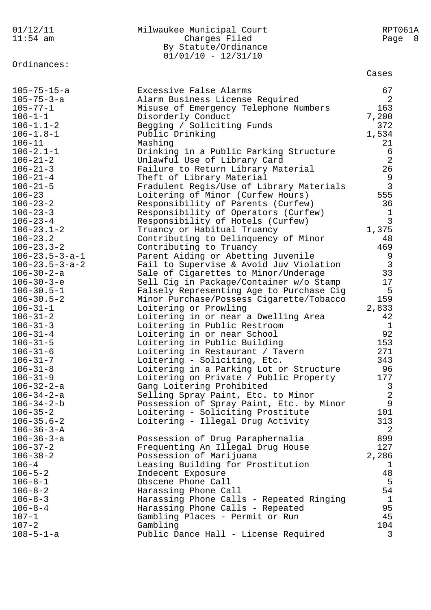| 01/12/11                 | Milwaukee Municipal Court                | RPT061A        |
|--------------------------|------------------------------------------|----------------|
| $11:54$ am               | Charges Filed                            | Page 8         |
|                          | By Statute/Ordinance                     |                |
|                          | $01/01/10 - 12/31/10$                    |                |
| Ordinances:              |                                          |                |
|                          |                                          | Cases          |
| $105 - 75 - 15 - a$      | Excessive False Alarms                   | 67             |
| $105 - 75 - 3 - a$       | Alarm Business License Required          | 2              |
| $105 - 77 - 1$           | Misuse of Emergency Telephone Numbers    | 163            |
| $106 - 1 - 1$            | Disorderly Conduct                       | 7,200          |
| $106 - 1.1 - 2$          | Begging / Soliciting Funds               | 372            |
| $106 - 1.8 - 1$          | Public Drinking                          | 1,534          |
| $106 - 11$               | Mashing                                  | 21             |
| $106 - 2.1 - 1$          |                                          |                |
|                          | Drinking in a Public Parking Structure   | $\epsilon$     |
| $106 - 21 - 2$           | Unlawful Use of Library Card             | $\overline{2}$ |
| $106 - 21 - 3$           | Failure to Return Library Material       | 26             |
| $106 - 21 - 4$           | Theft of Library Material                | $\mathsf 9$    |
| $106 - 21 - 5$           | Fradulent Regis/Use of Library Materials | 3              |
| $106 - 23$               | Loitering of Minor (Curfew Hours)        | 555            |
| $106 - 23 - 2$           | Responsibility of Parents (Curfew)       | 36             |
| $106 - 23 - 3$           | Responsibility of Operators (Curfew)     | $\mathbf 1$    |
| $106 - 23 - 4$           | Responsibility of Hotels (Curfew)        | 3              |
| $106 - 23.1 - 2$         | Truancy or Habitual Truancy              | 1,375          |
| $106 - 23.2$             | Contributing to Delinquency of Minor     | 48             |
| $106 - 23.3 - 2$         | Contributing to Truancy                  | 469            |
| $106 - 23.5 - 3 - a - 1$ | Parent Aiding or Abetting Juvenile       | 9              |
| $106 - 23.5 - 3 - a - 2$ | Fail to Supervise & Avoid Juv Violation  | $\mathbf{3}$   |
| $106 - 30 - 2 - a$       | Sale of Cigarettes to Minor/Underage     | 33             |
| $106 - 30 - 3 - e$       | Sell Cig in Package/Container w/o Stamp  | 17             |
| $106 - 30.5 - 1$         | Falsely Representing Age to Purchase Cig | 5              |
| $106 - 30.5 - 2$         | Minor Purchase/Possess Cigarette/Tobacco | 159            |
| $106 - 31 - 1$           | Loitering or Prowling                    | 2,833          |
| $106 - 31 - 2$           | Loitering in or near a Dwelling Area     | 42             |
| $106 - 31 - 3$           | Loitering in Public Restroom             | $\mathbf{1}$   |
| $106 - 31 - 4$           | Loitering in or near School              | 92             |
| $106 - 31 - 5$           | Loitering in Public Building             | 153            |
| $106 - 31 - 6$           | Loitering in Restaurant / Tavern         | 271            |
| $106 - 31 - 7$           | Loitering - Soliciting, Etc.             | 343            |
| $106 - 31 - 8$           | Loitering in a Parking Lot or Structure  | 96             |
| $106 - 31 - 9$           | Loitering on Private / Public Property   | 177            |
| $106 - 32 - 2 - a$       | Gang Loitering Prohibited                | 3              |
| $106 - 34 - 2 - a$       | Selling Spray Paint, Etc. to Minor       | $\overline{2}$ |
| $106 - 34 - 2 - b$       | Possession of Spray Paint, Etc. by Minor | 9              |
| $106 - 35 - 2$           | Loitering - Soliciting Prostitute        | 101            |
| $106 - 35.6 - 2$         | Loitering - Illegal Drug Activity        | 313            |
| $106 - 36 - 3 - A$       |                                          | 2              |
| $106 - 36 - 3 - a$       | Possession of Drug Paraphernalia         | 899            |
| $106 - 37 - 2$           | Frequenting An Illegal Drug House        | 127            |
| $106 - 38 - 2$           | Possession of Marijuana                  | 2,286          |
| $106 - 4$                | Leasing Building for Prostitution        | 1              |
| $106 - 5 - 2$            | Indecent Exposure                        | 48             |
| $106 - 8 - 1$            | Obscene Phone Call                       | 5              |
| $106 - 8 - 2$            | Harassing Phone Call                     | 54             |
| $106 - 8 - 3$            | Harassing Phone Calls - Repeated Ringing | $\mathbf{1}$   |
| $106 - 8 - 4$            | Harassing Phone Calls - Repeated         | 95             |
| $107 - 1$                | Gambling Places - Permit or Run          | 45             |
| $107 - 2$                | Gambling                                 | 104            |
| $108 - 5 - 1 - a$        | Public Dance Hall - License Required     | 3              |
|                          |                                          |                |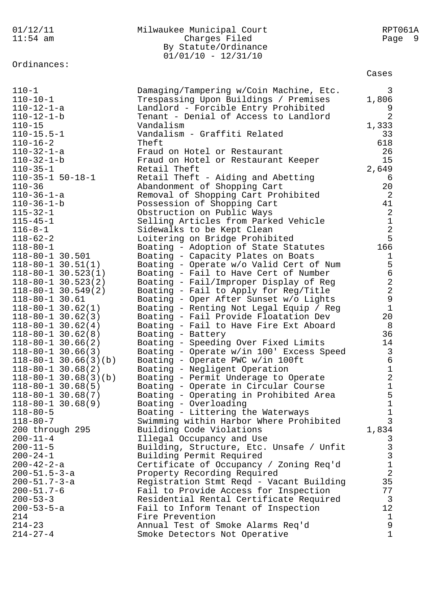| 01/12/11<br>$11:54$ am                            | Milwaukee Municipal Court<br>Charges Filed<br>By Statute/Ordinance<br>$01/01/10 - 12/31/10$ | RPT061A<br>Page 9             |
|---------------------------------------------------|---------------------------------------------------------------------------------------------|-------------------------------|
| Ordinances:                                       |                                                                                             | Cases                         |
| $110 - 1$                                         | Damaging/Tampering w/Coin Machine, Etc.                                                     | 3                             |
| $110 - 10 - 1$                                    | Trespassing Upon Buildings / Premises                                                       | 1,806                         |
| $110 - 12 - 1 - a$                                | Landlord - Forcible Entry Prohibited                                                        | 9                             |
| $110 - 12 - 1 - b$<br>$110 - 15$                  | Tenant - Denial of Access to Landlord<br>Vandalism                                          | 2                             |
| $110 - 15.5 - 1$                                  | Vandalism - Graffiti Related                                                                | 1,333<br>33                   |
| $110 - 16 - 2$                                    | Theft                                                                                       | 618                           |
| $110 - 32 - 1 - a$                                | Fraud on Hotel or Restaurant                                                                | 26                            |
| $110 - 32 - 1 - b$                                | Fraud on Hotel or Restaurant Keeper                                                         | 15                            |
| $110 - 35 - 1$                                    | Retail Theft                                                                                | 2,649                         |
| $110-35-1$ 50-18-1                                | Retail Theft - Aiding and Abetting                                                          | 6                             |
| $110 - 36$                                        | Abandonment of Shopping Cart                                                                | 20                            |
| $110 - 36 - 1 - a$                                | Removal of Shopping Cart Prohibited                                                         | 2                             |
| $110 - 36 - 1 - b$                                | Possession of Shopping Cart                                                                 | 41                            |
| $115 - 32 - 1$                                    | Obstruction on Public Ways                                                                  | $\sqrt{2}$                    |
| $115 - 45 - 1$                                    | Selling Articles from Parked Vehicle                                                        | $\mathbf 1$                   |
| $116 - 8 - 1$                                     | Sidewalks to be Kept Clean                                                                  | $\sqrt{2}$                    |
| $118 - 62 - 2$                                    | Loitering on Bridge Prohibited                                                              | 5<br>166                      |
| $118 - 80 - 1$<br>118-80-1 30.501                 | Boating - Adoption of State Statutes<br>Boating - Capacity Plates on Boats                  | $\mathbf 1$                   |
| $118 - 80 - 1$ 30.51(1)                           | Boating - Operate w/o Valid Cert of Num                                                     | 5                             |
| $118 - 80 - 1$ 30.523(1)                          | Boating - Fail to Have Cert of Number                                                       | б                             |
| $118 - 80 - 1$ 30.523(2)                          | Boating - Fail/Improper Display of Reg                                                      | $\overline{a}$                |
| $118 - 80 - 1$ 30.549(2)                          | Boating - Fail to Apply for Reg/Title                                                       | $\overline{a}$                |
| $118 - 80 - 1$ 30.61                              | Boating - Oper After Sunset w/o Lights                                                      | $\mathsf{S}$                  |
| $118 - 80 - 1$ 30.62(1)                           | Boating - Renting Not Legal Equip / Reg                                                     | $1\,$                         |
| $118 - 80 - 1$ 30.62(3)                           | Boating - Fail Provide Floatation Dev                                                       | 20                            |
| $118 - 80 - 1$ 30.62(4)                           | Boating - Fail to Have Fire Ext Aboard                                                      | 8                             |
| $118 - 80 - 1$ 30.62(8)                           | Boating - Battery                                                                           | 36                            |
| $118 - 80 - 1$ 30.66(2)                           | Boating - Speeding Over Fixed Limits                                                        | 14                            |
| $118 - 80 - 1$ 30.66(3)                           | Boating - Operate w/in 100' Excess Speed                                                    | $\overline{3}$                |
| $118-80-1$ 30.66(3)(b)<br>$118 - 80 - 1$ 30.68(2) | Boating - Operate PWC w/in 100ft<br>Boating - Negligent Operation                           | 6<br>$\mathbf 1$              |
| $118-80-1$ 30.68(3)(b)                            | Boating - Permit Underage to Operate                                                        | $\sqrt{2}$                    |
| $118 - 80 - 1$ 30.68(5)                           | Boating - Operate in Circular Course                                                        | $\mathbf 1$                   |
| $118 - 80 - 1$ 30.68(7)                           | Boating - Operating in Prohibited Area                                                      | 5                             |
| $118 - 80 - 1$ 30.68(9)                           | Boating - Overloading                                                                       | $\mathbf 1$                   |
| $118 - 80 - 5$                                    | Boating - Littering the Waterways                                                           | $\mathbf 1$                   |
| $118 - 80 - 7$                                    | Swimming within Harbor Where Prohibited                                                     | 3                             |
| 200 through 295                                   | Building Code Violations                                                                    | 1,834                         |
| $200 - 11 - 4$                                    | Illegal Occupancy and Use                                                                   | 3                             |
| $200 - 11 - 5$                                    | Building, Structure, Etc. Unsafe / Unfit                                                    | 3                             |
| $200 - 24 - 1$                                    | Building Permit Required                                                                    | 3                             |
| $200 - 42 - 2 - a$                                | Certificate of Occupancy / Zoning Req'd                                                     | $\mathbf 1$<br>$\overline{2}$ |
| $200 - 51.5 - 3 - a$<br>$200 - 51.7 - 3 - a$      | Property Recording Required                                                                 | 35                            |
| $200 - 51.7 - 6$                                  | Registration Stmt Reqd - Vacant Building<br>Fail to Provide Access for Inspection           | 77                            |
| $200 - 53 - 3$                                    | Residential Rental Certificate Required                                                     | 3                             |
| $200 - 53 - 5 - a$                                | Fail to Inform Tenant of Inspection                                                         | 12                            |
| 214                                               | Fire Prevention                                                                             | $\mathbf{1}$                  |
| $214 - 23$                                        | Annual Test of Smoke Alarms Req'd                                                           | 9                             |
| $214 - 27 - 4$                                    | Smoke Detectors Not Operative                                                               | $\mathbf{1}$                  |
|                                                   |                                                                                             |                               |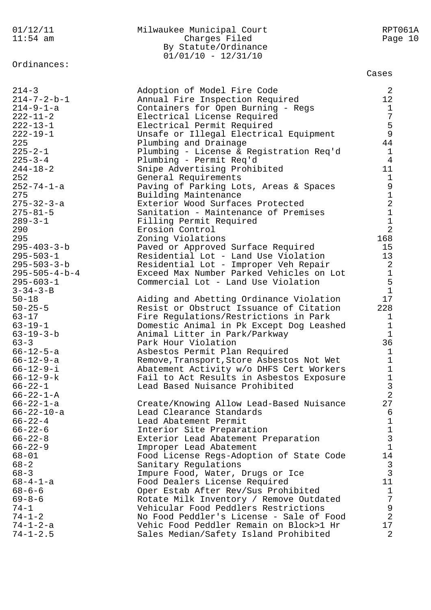11:54 am Charges Filed Page 10 By Statute/Ordinance  $01/01/10 - 12/31/10$ Ordinances: Cases 214-3 Adoption of Model Fire Code 2 214-7-2-b-1 Annual Fire Inspection Required 12 214-9-1-a Containers for Open Burning - Regs 1 222-11-2 Electrical License Required 7 222-13-1 Electrical Permit Required 5 222-19-1 Unsafe or Illegal Electrical Equipment 9 225 Plumbing and Drainage 44 225-2-1 Plumbing - License & Registration Req'd 1 225-3-4 Plumbing - Permit Req'd 4 244-18-2 Snipe Advertising Prohibited 11 252 General Requirements 1 252-74-1-a Paving of Parking Lots, Areas & Spaces 9 275 **Building Maintenance** 1 275-32-3-a Exterior Wood Surfaces Protected 2 275-81-5 Sanitation - Maintenance of Premises 1 289-3-1 Filling Permit Required 1 290 Erosion Control 2 295 Zoning Violations 168 295-403-3-b Paved or Approved Surface Required 15 295-503-1 Residential Lot - Land Use Violation 13 295-503-3-b Residential Lot - Improper Veh Repair 2 295-505-4-b-4 Exceed Max Number Parked Vehicles on Lot 1 295-603-1 Commercial Lot - Land Use Violation 5  $3-34-3-B$  1 50-18 Aiding and Abetting Ordinance Violation 17 50-25-5 Resist or Obstruct Issuance of Citation 228 63-17 Fire Regulations/Restrictions in Park 1 63-19-1 Domestic Animal in Pk Except Dog Leashed 1 63-19-3-b Animal Litter in Park/Parkway 1 63-3 Park Hour Violation 36 66-12-5-a Asbestos Permit Plan Required 1 66-12-9-a Remove,Transport,Store Asbestos Not Wet 1 66-12-9-i Abatement Activity w/o DHFS Cert Workers 1 66-12-9-k Fail to Act Results in Asbestos Exposure 1 66-22-1 Lead Based Nuisance Prohibited 3  $66-22-1-A$  2 66-22-1-a Create/Knowing Allow Lead-Based Nuisance 27 66-22-10-a Lead Clearance Standards 6 66-22-4 Lead Abatement Permit 1 66-22-6 Interior Site Preparation 1 66-22-8 Exterior Lead Abatement Preparation 3 66-22-9 Improper Lead Abatement 1 68-01 Food License Regs-Adoption of State Code 14 68-2 Sanitary Regulations 3 68-3 Impure Food, Water, Drugs or Ice 3 68-4-1-a Food Dealers License Required 11 68-6-6 Oper Estab After Rev/Sus Prohibited 1 69-8-6 Rotate Milk Inventory / Remove Outdated 7 74-1 Vehicular Food Peddlers Restrictions 9 74-1-2 No Food Peddler's License - Sale of Food 2 74-1-2-a Vehic Food Peddler Remain on Block>1 Hr 17 74-1-2.5 Sales Median/Safety Island Prohibited 2

01/12/11 Milwaukee Municipal Court RPT061A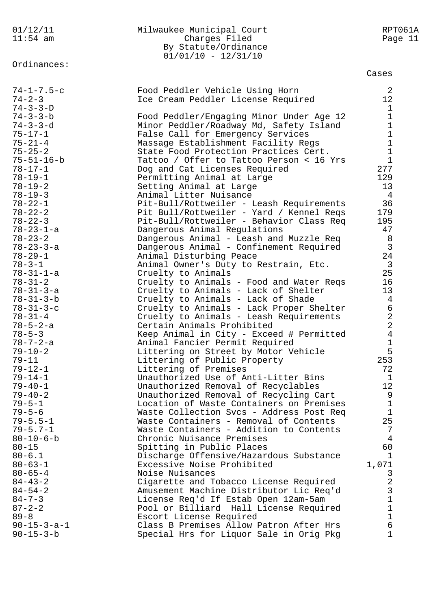| 01/12/11<br>$11:54$ am               | Milwaukee Municipal Court<br>Charges Filed<br>By Statute/Ordinance<br>$01/01/10 - 12/31/10$ | RPT061A<br>Page 11 |
|--------------------------------------|---------------------------------------------------------------------------------------------|--------------------|
| Ordinances:                          |                                                                                             | Cases              |
| $74 - 1 - 7.5 - c$                   | Food Peddler Vehicle Using Horn                                                             | 2                  |
| $74 - 2 - 3$                         | Ice Cream Peddler License Required                                                          | 12                 |
| $74 - 3 - 3 - D$<br>$74 - 3 - 3 - b$ |                                                                                             | 1<br>1             |
| $74 - 3 - 3 - d$                     | Food Peddler/Engaging Minor Under Age 12<br>Minor Peddler/Roadway Md, Safety Island         | 1                  |
| $75 - 17 - 1$                        | False Call for Emergency Services                                                           | 1                  |
| $75 - 21 - 4$                        | Massage Establishment Facility Regs                                                         | $\mathbf 1$        |
| $75 - 25 - 2$                        | State Food Protection Practices Cert.                                                       | 1                  |
| $75 - 51 - 16 - b$                   | Tattoo / Offer to Tattoo Person < 16 Yrs                                                    | $\mathbf{1}$       |
| $78 - 17 - 1$                        | Dog and Cat Licenses Required                                                               | 277                |
| $78 - 19 - 1$                        | Permitting Animal at Large                                                                  | 129                |
| $78 - 19 - 2$<br>$78 - 19 - 3$       | Setting Animal at Large                                                                     | 13                 |
| $78 - 22 - 1$                        | Animal Litter Nuisance<br>Pit-Bull/Rottweiler - Leash Requirements                          | 4<br>36            |
| $78 - 22 - 2$                        | Pit Bull/Rottweiler - Yard / Kennel Reqs                                                    | 179                |
| $78 - 22 - 3$                        | Pit-Bull/Rottweiler - Behavior Class Req                                                    | 195                |
| 78-23-1-a                            | Dangerous Animal Regulations                                                                | 47                 |
| $78 - 23 - 2$                        | Dangerous Animal - Leash and Muzzle Req                                                     | 8                  |
| 78-23-3-a                            | Dangerous Animal - Confinement Required                                                     | $\overline{3}$     |
| $78 - 29 - 1$                        | Animal Disturbing Peace                                                                     | 24                 |
| $78 - 3 - 1$                         | Animal Owner's Duty to Restrain, Etc.                                                       | $\mathbf{3}$       |
| $78 - 31 - 1 - a$<br>$78 - 31 - 2$   | Cruelty to Animals                                                                          | 25<br>16           |
| $78 - 31 - 3 - a$                    | Cruelty to Animals - Food and Water Reqs<br>Cruelty to Animals - Lack of Shelter            | 13                 |
| $78 - 31 - 3 - b$                    | Cruelty to Animals - Lack of Shade                                                          | 4                  |
| $78 - 31 - 3 - c$                    | Cruelty to Animals - Lack Proper Shelter                                                    | 6                  |
| $78 - 31 - 4$                        | Cruelty to Animals - Leash Requirements                                                     | $\overline{2}$     |
| $78 - 5 - 2 - a$                     | Certain Animals Prohibited                                                                  | $\overline{2}$     |
| $78 - 5 - 3$                         | Keep Animal in City - Exceed # Permitted                                                    | 4                  |
| $78 - 7 - 2 - a$                     | Animal Fancier Permit Required                                                              | 1                  |
| $79 - 10 - 2$<br>$79 - 11$           | Littering on Street by Motor Vehicle<br>Littering of Public Property                        | 5<br>253           |
| $79 - 12 - 1$                        | Littering of Premises                                                                       | 72                 |
| $79 - 14 - 1$                        | Unauthorized Use of Anti-Litter Bins                                                        | 1                  |
| $79 - 40 - 1$                        | Unauthorized Removal of Recyclables                                                         | 12                 |
| $79 - 40 - 2$                        | Unauthorized Removal of Recycling Cart                                                      | 9                  |
| $79 - 5 - 1$                         | Location of Waste Containers on Premises                                                    | 1                  |
| $79 - 5 - 6$                         | Waste Collection Svcs - Address Post Req                                                    | $\mathbf{1}$       |
| $79 - 5.5 - 1$                       | Waste Containers - Removal of Contents                                                      | 25                 |
| $79 - 5.7 - 1$<br>$80 - 10 - 6 - b$  | Waste Containers - Addition to Contents<br>Chronic Nuisance Premises                        | 7<br>4             |
| $80 - 15$                            | Spitting in Public Places                                                                   | 60                 |
| $80 - 6.1$                           | Discharge Offensive/Hazardous Substance                                                     | $\mathbf{1}$       |
| $80 - 63 - 1$                        | Excessive Noise Prohibited                                                                  | 1,071              |
| $80 - 65 - 4$                        | Noise Nuisances                                                                             | 3                  |
| $84 - 43 - 2$                        | Cigarette and Tobacco License Required                                                      | $\overline{2}$     |
| $84 - 54 - 2$                        | Amusement Machine Distributor Lic Req'd                                                     | 3                  |
| $84 - 7 - 3$                         | License Req'd If Estab Open 12am-5am                                                        | $\mathbf{1}$       |
| $87 - 2 - 2$<br>$89 - 8$             | Pool or Billiard Hall License Required                                                      | 1<br>$\mathbf 1$   |
| $90 - 15 - 3 - a - 1$                | Escort License Required<br>Class B Premises Allow Patron After Hrs                          | 6                  |
| $90 - 15 - 3 - b$                    | Special Hrs for Liquor Sale in Orig Pkg                                                     | 1                  |
|                                      |                                                                                             |                    |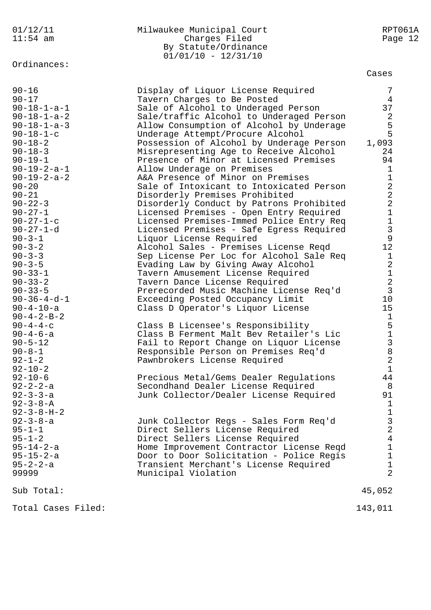| 01/12/11<br>$11:54$ am                                                                                                                                                                                                                                                                                                                                                                                                                                                                                                                                                                                                                                                                                                           | Milwaukee Municipal Court<br>Charges Filed<br>By Statute/Ordinance<br>$01/01/10 - 12/31/10$                                                                                                                                                                                                                                                                                                                                                                                                                                                                                                                                                                                                                                                                                                                                                                                                                                                                                                                                                                                                                                                                                                                                                                                                                                                                                       | RPT061A<br>Page 12                                                                                                                                                                                                                                                                                                                                                                                          |
|----------------------------------------------------------------------------------------------------------------------------------------------------------------------------------------------------------------------------------------------------------------------------------------------------------------------------------------------------------------------------------------------------------------------------------------------------------------------------------------------------------------------------------------------------------------------------------------------------------------------------------------------------------------------------------------------------------------------------------|-----------------------------------------------------------------------------------------------------------------------------------------------------------------------------------------------------------------------------------------------------------------------------------------------------------------------------------------------------------------------------------------------------------------------------------------------------------------------------------------------------------------------------------------------------------------------------------------------------------------------------------------------------------------------------------------------------------------------------------------------------------------------------------------------------------------------------------------------------------------------------------------------------------------------------------------------------------------------------------------------------------------------------------------------------------------------------------------------------------------------------------------------------------------------------------------------------------------------------------------------------------------------------------------------------------------------------------------------------------------------------------|-------------------------------------------------------------------------------------------------------------------------------------------------------------------------------------------------------------------------------------------------------------------------------------------------------------------------------------------------------------------------------------------------------------|
|                                                                                                                                                                                                                                                                                                                                                                                                                                                                                                                                                                                                                                                                                                                                  |                                                                                                                                                                                                                                                                                                                                                                                                                                                                                                                                                                                                                                                                                                                                                                                                                                                                                                                                                                                                                                                                                                                                                                                                                                                                                                                                                                                   | Cases                                                                                                                                                                                                                                                                                                                                                                                                       |
| Ordinances:<br>$90 - 16$<br>$90 - 17$<br>$90 - 18 - 1 - a - 1$<br>$90 - 18 - 1 - a - 2$<br>$90 - 18 - 1 - a - 3$<br>$90 - 18 - 1 - c$<br>$90 - 18 - 2$<br>$90 - 18 - 3$<br>$90 - 19 - 1$<br>$90 - 19 - 2 - a - 1$<br>$90 - 19 - 2 - a - 2$<br>$90 - 20$<br>$90 - 21$<br>$90 - 22 - 3$<br>$90 - 27 - 1$<br>$90 - 27 - 1 - c$<br>$90 - 27 - 1 - d$<br>$90 - 3 - 1$<br>$90 - 3 - 2$<br>$90 - 3 - 3$<br>$90 - 3 - 5$<br>$90 - 33 - 1$<br>$90 - 33 - 2$<br>$90 - 33 - 5$<br>$90 - 36 - 4 - d - 1$<br>$90 - 4 - 10 - a$<br>$90 - 4 - 2 - B - 2$<br>$90 - 4 - 4 - c$<br>$90 - 4 - 6 - a$<br>$90 - 5 - 12$<br>$90 - 8 - 1$<br>$92 - 1 - 2$<br>$92 - 10 - 2$<br>$92 - 10 - 6$<br>$92 - 2 - 2 - a$<br>$92 - 3 - 3 - a$<br>$92 - 3 - 8 - A$ | Display of Liquor License Required<br>Tavern Charges to Be Posted<br>Sale of Alcohol to Underaged Person<br>Sale/traffic Alcohol to Underaged Person<br>Allow Consumption of Alcohol by Underage<br>Underage Attempt/Procure Alcohol<br>Possession of Alcohol by Underage Person<br>Misrepresenting Age to Receive Alcohol<br>Presence of Minor at Licensed Premises<br>Allow Underage on Premises<br>A&A Presence of Minor on Premises<br>Sale of Intoxicant to Intoxicated Person<br>Disorderly Premises Prohibited<br>Disorderly Conduct by Patrons Prohibited<br>Licensed Premises - Open Entry Required<br>Licensed Premises-Immed Police Entry Req<br>Licensed Premises - Safe Egress Required<br>Liquor License Required<br>Alcohol Sales - Premises License Reqd<br>Sep License Per Loc for Alcohol Sale Req<br>Evading Law by Giving Away Alcohol<br>Tavern Amusement License Required<br>Tavern Dance License Required<br>Prerecorded Music Machine License Req'd<br>Exceeding Posted Occupancy Limit<br>Class D Operator's Liquor License<br>Class B Licensee's Responsibility<br>Class B Ferment Malt Bev Retailer's Lic<br>Fail to Report Change on Liquor License<br>Responsible Person on Premises Req'd<br>Pawnbrokers License Required<br>Precious Metal/Gems Dealer Regulations<br>Secondhand Dealer License Required<br>Junk Collector/Dealer License Required | 7<br>4<br>37<br>2<br>5<br>5<br>1,093<br>24<br>94<br>$\mathbf 1$<br>$\mathbf 1$<br>$\overline{a}$<br>$\overline{2}$<br>$\overline{a}$<br>$\mathbf 1$<br>$\mathbf 1$<br>$\mathfrak{Z}$<br>9<br>12<br>$\mathbf{1}$<br>$\overline{a}$<br>$\mathbf 1$<br>$\overline{2}$<br>$\mathbf{3}$<br>10<br>15<br>$\mathbf{1}$<br>5<br>$\mathbf 1$<br>3<br>8<br>$\sqrt{2}$<br>$\mathbf{1}$<br>44<br>8<br>91<br>$\mathbf{1}$ |
| $92 - 3 - 8 - H - 2$<br>$92 - 3 - 8 - a$<br>$95 - 1 - 1$<br>$95 - 1 - 2$<br>$95 - 14 - 2 - a$<br>$95 - 15 - 2 - a$<br>$95 - 2 - 2 - a$<br>99999                                                                                                                                                                                                                                                                                                                                                                                                                                                                                                                                                                                  | Junk Collector Regs - Sales Form Req'd<br>Direct Sellers License Required<br>Direct Sellers License Required<br>Home Improvement Contractor License Reqd<br>Door to Door Solicitation - Police Regis<br>Transient Merchant's License Required<br>Municipal Violation                                                                                                                                                                                                                                                                                                                                                                                                                                                                                                                                                                                                                                                                                                                                                                                                                                                                                                                                                                                                                                                                                                              | $\mathbf{1}$<br>$\mathfrak{Z}$<br>2<br>4<br>$\mathbf 1$<br>$\mathbf 1$<br>$\mathbf{1}$<br>$\overline{2}$                                                                                                                                                                                                                                                                                                    |
| Sub Total:                                                                                                                                                                                                                                                                                                                                                                                                                                                                                                                                                                                                                                                                                                                       |                                                                                                                                                                                                                                                                                                                                                                                                                                                                                                                                                                                                                                                                                                                                                                                                                                                                                                                                                                                                                                                                                                                                                                                                                                                                                                                                                                                   | 45,052                                                                                                                                                                                                                                                                                                                                                                                                      |

Total Cases Filed: 143,011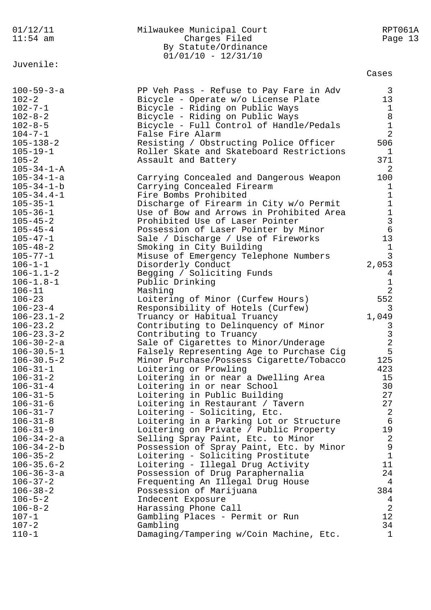| 01/12/11                               | Milwaukee Municipal Court                                             | RPT061A                       |
|----------------------------------------|-----------------------------------------------------------------------|-------------------------------|
| $11:54$ am                             | Charges Filed                                                         | Page 13                       |
|                                        | By Statute/Ordinance                                                  |                               |
|                                        | $01/01/10 - 12/31/10$                                                 |                               |
| Juvenile:                              |                                                                       |                               |
|                                        |                                                                       | Cases                         |
| $100 - 59 - 3 - a$                     | PP Veh Pass - Refuse to Pay Fare in Adv                               | 3                             |
| $102 - 2$                              | Bicycle - Operate w/o License Plate                                   | 13                            |
| $102 - 7 - 1$                          | Bicycle - Riding on Public Ways                                       | $\mathbf{1}$                  |
| $102 - 8 - 2$                          | Bicycle - Riding on Public Ways                                       | 8                             |
| $102 - 8 - 5$                          | Bicycle - Full Control of Handle/Pedals                               | $\mathbf 1$                   |
| $104 - 7 - 1$                          | False Fire Alarm                                                      | $\overline{2}$                |
| $105 - 138 - 2$                        | Resisting / Obstructing Police Officer                                | 506                           |
| $105 - 19 - 1$                         | Roller Skate and Skateboard Restrictions                              | $\mathbf{1}$                  |
| $105 - 2$                              | Assault and Battery                                                   | 371                           |
| $105 - 34 - 1 - A$                     |                                                                       | 2                             |
| $105 - 34 - 1 - a$                     | Carrying Concealed and Dangerous Weapon                               | 100                           |
| $105 - 34 - 1 - b$                     | Carrying Concealed Firearm                                            | 1                             |
| $105 - 34.4 - 1$                       | Fire Bombs Prohibited                                                 | 1                             |
| $105 - 35 - 1$                         | Discharge of Firearm in City w/o Permit                               | $\mathbf 1$                   |
| $105 - 36 - 1$                         | Use of Bow and Arrows in Prohibited Area                              | $\frac{1}{3}$                 |
| $105 - 45 - 2$                         | Prohibited Use of Laser Pointer                                       |                               |
| $105 - 45 - 4$                         | Possession of Laser Pointer by Minor                                  | $\epsilon$                    |
| $105 - 47 - 1$                         | Sale / Discharge / Use of Fireworks                                   | 13                            |
| $105 - 48 - 2$                         | Smoking in City Building                                              | $\mathbf 1$                   |
| $105 - 77 - 1$                         | Misuse of Emergency Telephone Numbers                                 | 3                             |
| $106 - 1 - 1$                          | Disorderly Conduct                                                    | 2,053                         |
| $106 - 1.1 - 2$                        | Begging / Soliciting Funds                                            | $\overline{4}$                |
| $106 - 1.8 - 1$<br>$106 - 11$          | Public Drinking<br>Mashing                                            | $\mathbf 1$<br>$\overline{a}$ |
| $106 - 23$                             | Loitering of Minor (Curfew Hours)                                     | 552                           |
| $106 - 23 - 4$                         | Responsibility of Hotels (Curfew)                                     | 3                             |
| $106 - 23.1 - 2$                       | Truancy or Habitual Truancy                                           | 1,049                         |
| $106 - 23.2$                           | Contributing to Delinquency of Minor                                  | 3                             |
| $106 - 23.3 - 2$                       | Contributing to Truancy                                               |                               |
| $106 - 30 - 2 - a$                     | Sale of Cigarettes to Minor/Underage                                  | $\frac{3}{2}$                 |
| $106 - 30.5 - 1$                       | Falsely Representing Age to Purchase Cig                              | 5                             |
| $106 - 30.5 - 2$                       | Minor Purchase/Possess Cigarette/Tobacco                              | 125                           |
| $106 - 31 - 1$                         | Loitering or Prowling                                                 | 423                           |
| $106 - 31 - 2$                         | Loitering in or near a Dwelling Area                                  | 15                            |
| $106 - 31 - 4$                         | Loitering in or near School                                           | 30                            |
| $106 - 31 - 5$                         | Loitering in Public Building                                          | 27                            |
| $106 - 31 - 6$                         | Loitering in Restaurant / Tavern                                      | 27                            |
| $106 - 31 - 7$                         | Loitering - Soliciting, Etc.                                          | 2                             |
| $106 - 31 - 8$                         | Loitering in a Parking Lot or Structure                               | $\epsilon$                    |
| $106 - 31 - 9$                         | Loitering on Private / Public Property                                | 19                            |
| $106 - 34 - 2 - a$                     | Selling Spray Paint, Etc. to Minor                                    | $\overline{2}$                |
| $106 - 34 - 2 - b$                     | Possession of Spray Paint, Etc. by Minor                              | $\mathsf 9$                   |
| $106 - 35 - 2$                         | Loitering - Soliciting Prostitute                                     | $1\,$<br>11                   |
| $106 - 35.6 - 2$<br>$106 - 36 - 3 - a$ | Loitering - Illegal Drug Activity<br>Possession of Drug Paraphernalia | 24                            |
| $106 - 37 - 2$                         | Frequenting An Illegal Drug House                                     | 4                             |
| $106 - 38 - 2$                         | Possession of Marijuana                                               | 384                           |
| $106 - 5 - 2$                          | Indecent Exposure                                                     | 4                             |
| $106 - 8 - 2$                          | Harassing Phone Call                                                  | $\overline{2}$                |
| $107 - 1$                              | Gambling Places - Permit or Run                                       | 12                            |
| $107 - 2$                              | Gambling                                                              | 34                            |
| $110 - 1$                              | Damaging/Tampering w/Coin Machine, Etc.                               | $\mathbf 1$                   |
|                                        |                                                                       |                               |